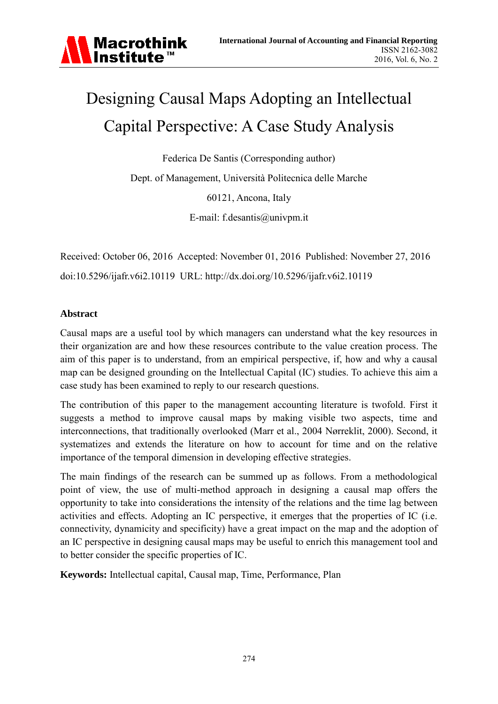

# Designing Causal Maps Adopting an Intellectual Capital Perspective: A Case Study Analysis

Federica De Santis (Corresponding author)

Dept. of Management, Università Politecnica delle Marche

60121, Ancona, Italy

E-mail: f.desantis@univpm.it

Received: October 06, 2016 Accepted: November 01, 2016 Published: November 27, 2016 doi:10.5296/ijafr.v6i2.10119 URL: http://dx.doi.org/10.5296/ijafr.v6i2.10119

#### **Abstract**

Causal maps are a useful tool by which managers can understand what the key resources in their organization are and how these resources contribute to the value creation process. The aim of this paper is to understand, from an empirical perspective, if, how and why a causal map can be designed grounding on the Intellectual Capital (IC) studies. To achieve this aim a case study has been examined to reply to our research questions.

The contribution of this paper to the management accounting literature is twofold. First it suggests a method to improve causal maps by making visible two aspects, time and interconnections, that traditionally overlooked (Marr et al., 2004 Nørreklit, 2000). Second, it systematizes and extends the literature on how to account for time and on the relative importance of the temporal dimension in developing effective strategies.

The main findings of the research can be summed up as follows. From a methodological point of view, the use of multi-method approach in designing a causal map offers the opportunity to take into considerations the intensity of the relations and the time lag between activities and effects. Adopting an IC perspective, it emerges that the properties of IC (i.e. connectivity, dynamicity and specificity) have a great impact on the map and the adoption of an IC perspective in designing causal maps may be useful to enrich this management tool and to better consider the specific properties of IC.

**Keywords:** Intellectual capital, Causal map, Time, Performance, Plan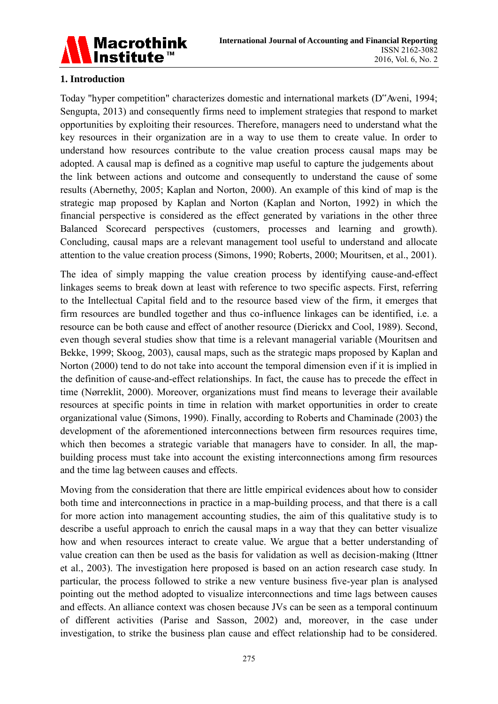

# **1. Introduction**

Today "hyper competition" characterizes domestic and international markets (D"Aveni, 1994; Sengupta, 2013) and consequently firms need to implement strategies that respond to market opportunities by exploiting their resources. Therefore, managers need to understand what the key resources in their organization are in a way to use them to create value. In order to understand how resources contribute to the value creation process causal maps may be adopted. A causal map is defined as a cognitive map useful to capture the judgements about the link between actions and outcome and consequently to understand the cause of some results (Abernethy, 2005; Kaplan and Norton, 2000). An example of this kind of map is the strategic map proposed by Kaplan and Norton (Kaplan and Norton, 1992) in which the financial perspective is considered as the effect generated by variations in the other three Balanced Scorecard perspectives (customers, processes and learning and growth). Concluding, causal maps are a relevant management tool useful to understand and allocate attention to the value creation process (Simons, 1990; Roberts, 2000; Mouritsen, et al., 2001).

The idea of simply mapping the value creation process by identifying cause-and-effect linkages seems to break down at least with reference to two specific aspects. First, referring to the Intellectual Capital field and to the resource based view of the firm, it emerges that firm resources are bundled together and thus co-influence linkages can be identified, i.e. a resource can be both cause and effect of another resource (Dierickx and Cool, 1989). Second, even though several studies show that time is a relevant managerial variable (Mouritsen and Bekke, 1999; Skoog, 2003), causal maps, such as the strategic maps proposed by Kaplan and Norton (2000) tend to do not take into account the temporal dimension even if it is implied in the definition of cause-and-effect relationships. In fact, the cause has to precede the effect in time (Nørreklit, 2000). Moreover, organizations must find means to leverage their available resources at specific points in time in relation with market opportunities in order to create organizational value (Simons, 1990). Finally, according to Roberts and Chaminade (2003) the development of the aforementioned interconnections between firm resources requires time, which then becomes a strategic variable that managers have to consider. In all, the mapbuilding process must take into account the existing interconnections among firm resources and the time lag between causes and effects.

Moving from the consideration that there are little empirical evidences about how to consider both time and interconnections in practice in a map-building process, and that there is a call for more action into management accounting studies, the aim of this qualitative study is to describe a useful approach to enrich the causal maps in a way that they can better visualize how and when resources interact to create value. We argue that a better understanding of value creation can then be used as the basis for validation as well as decision-making (Ittner et al., 2003). The investigation here proposed is based on an action research case study. In particular, the process followed to strike a new venture business five-year plan is analysed pointing out the method adopted to visualize interconnections and time lags between causes and effects. An alliance context was chosen because JVs can be seen as a temporal continuum of different activities (Parise and Sasson, 2002) and, moreover, in the case under investigation, to strike the business plan cause and effect relationship had to be considered.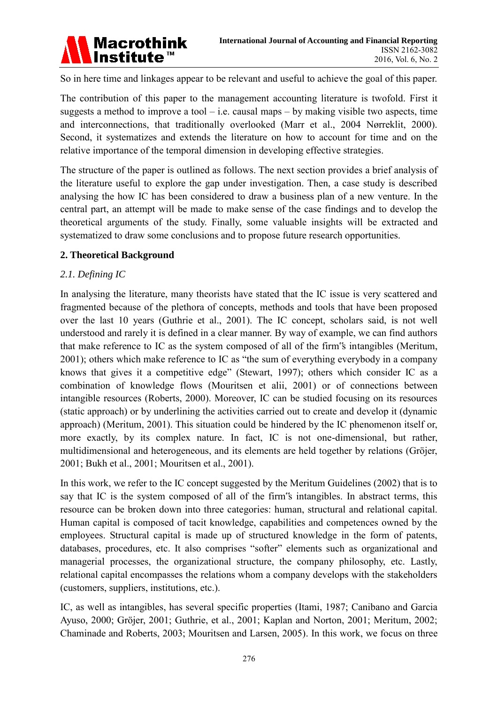

So in here time and linkages appear to be relevant and useful to achieve the goal of this paper.

The contribution of this paper to the management accounting literature is twofold. First it suggests a method to improve a tool – i.e. causal maps – by making visible two aspects, time and interconnections, that traditionally overlooked (Marr et al., 2004 Nørreklit, 2000). Second, it systematizes and extends the literature on how to account for time and on the relative importance of the temporal dimension in developing effective strategies.

The structure of the paper is outlined as follows. The next section provides a brief analysis of the literature useful to explore the gap under investigation. Then, a case study is described analysing the how IC has been considered to draw a business plan of a new venture. In the central part, an attempt will be made to make sense of the case findings and to develop the theoretical arguments of the study. Finally, some valuable insights will be extracted and systematized to draw some conclusions and to propose future research opportunities.

# **2. Theoretical Background**

# *2.1. Defining IC*

In analysing the literature, many theorists have stated that the IC issue is very scattered and fragmented because of the plethora of concepts, methods and tools that have been proposed over the last 10 years (Guthrie et al., 2001). The IC concept, scholars said, is not well understood and rarely it is defined in a clear manner. By way of example, we can find authors that make reference to IC as the system composed of all of the firm"s intangibles (Meritum, 2001); others which make reference to IC as "the sum of everything everybody in a company knows that gives it a competitive edge" (Stewart, 1997); others which consider IC as a combination of knowledge flows (Mouritsen et alii, 2001) or of connections between intangible resources (Roberts, 2000). Moreover, IC can be studied focusing on its resources (static approach) or by underlining the activities carried out to create and develop it (dynamic approach) (Meritum, 2001). This situation could be hindered by the IC phenomenon itself or, more exactly, by its complex nature. In fact, IC is not one-dimensional, but rather, multidimensional and heterogeneous, and its elements are held together by relations (Gröjer, 2001; Bukh et al., 2001; Mouritsen et al., 2001).

In this work, we refer to the IC concept suggested by the Meritum Guidelines (2002) that is to say that IC is the system composed of all of the firm"s intangibles. In abstract terms, this resource can be broken down into three categories: human, structural and relational capital. Human capital is composed of tacit knowledge, capabilities and competences owned by the employees. Structural capital is made up of structured knowledge in the form of patents, databases, procedures, etc. It also comprises "softer" elements such as organizational and managerial processes, the organizational structure, the company philosophy, etc. Lastly, relational capital encompasses the relations whom a company develops with the stakeholders (customers, suppliers, institutions, etc.).

IC, as well as intangibles, has several specific properties (Itami, 1987; Canibano and Garcia Ayuso, 2000; Gröjer, 2001; Guthrie, et al., 2001; Kaplan and Norton, 2001; Meritum, 2002; Chaminade and Roberts, 2003; Mouritsen and Larsen, 2005). In this work, we focus on three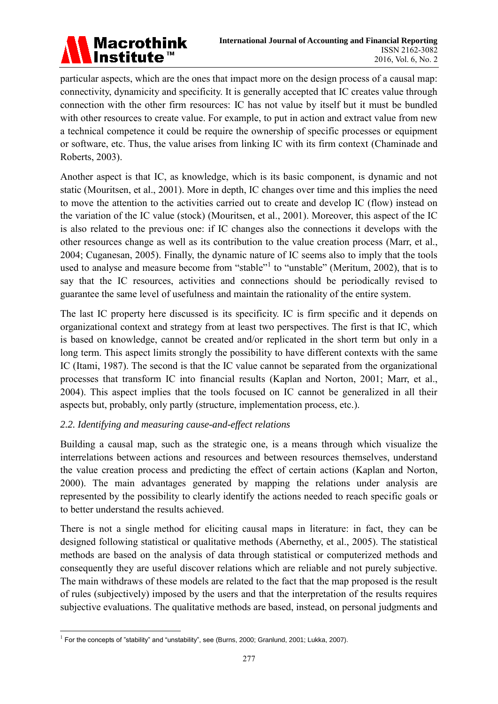

particular aspects, which are the ones that impact more on the design process of a causal map: connectivity, dynamicity and specificity. It is generally accepted that IC creates value through connection with the other firm resources: IC has not value by itself but it must be bundled with other resources to create value. For example, to put in action and extract value from new a technical competence it could be require the ownership of specific processes or equipment or software, etc. Thus, the value arises from linking IC with its firm context (Chaminade and Roberts, 2003).

Another aspect is that IC, as knowledge, which is its basic component, is dynamic and not static (Mouritsen, et al., 2001). More in depth, IC changes over time and this implies the need to move the attention to the activities carried out to create and develop IC (flow) instead on the variation of the IC value (stock) (Mouritsen, et al., 2001). Moreover, this aspect of the IC is also related to the previous one: if IC changes also the connections it develops with the other resources change as well as its contribution to the value creation process (Marr, et al., 2004; Cuganesan, 2005). Finally, the dynamic nature of IC seems also to imply that the tools used to analyse and measure become from "stable"<sup>1</sup> to "unstable" (Meritum, 2002), that is to say that the IC resources, activities and connections should be periodically revised to guarantee the same level of usefulness and maintain the rationality of the entire system.

The last IC property here discussed is its specificity. IC is firm specific and it depends on organizational context and strategy from at least two perspectives. The first is that IC, which is based on knowledge, cannot be created and/or replicated in the short term but only in a long term. This aspect limits strongly the possibility to have different contexts with the same IC (Itami, 1987). The second is that the IC value cannot be separated from the organizational processes that transform IC into financial results (Kaplan and Norton, 2001; Marr, et al., 2004). This aspect implies that the tools focused on IC cannot be generalized in all their aspects but, probably, only partly (structure, implementation process, etc.).

# *2.2. Identifying and measuring cause-and-effect relations*

Building a causal map, such as the strategic one, is a means through which visualize the interrelations between actions and resources and between resources themselves, understand the value creation process and predicting the effect of certain actions (Kaplan and Norton, 2000). The main advantages generated by mapping the relations under analysis are represented by the possibility to clearly identify the actions needed to reach specific goals or to better understand the results achieved.

There is not a single method for eliciting causal maps in literature: in fact, they can be designed following statistical or qualitative methods (Abernethy, et al., 2005). The statistical methods are based on the analysis of data through statistical or computerized methods and consequently they are useful discover relations which are reliable and not purely subjective. The main withdraws of these models are related to the fact that the map proposed is the result of rules (subjectively) imposed by the users and that the interpretation of the results requires subjective evaluations. The qualitative methods are based, instead, on personal judgments and

 1 For the concepts of "stability" and "unstability", see (Burns, 2000; Granlund, 2001; Lukka, 2007).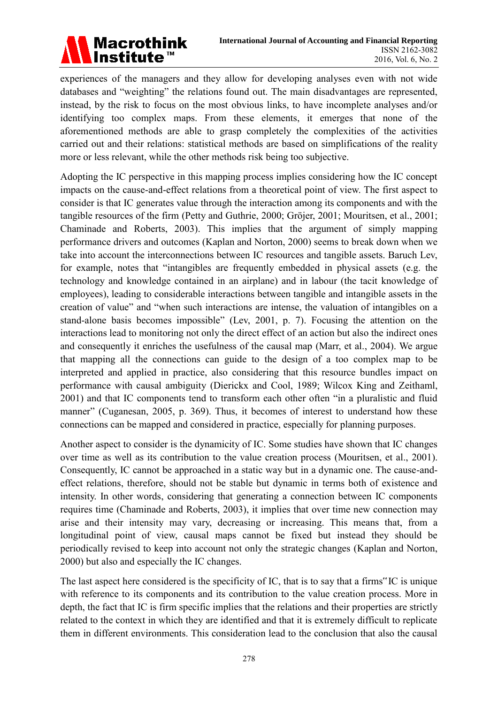

experiences of the managers and they allow for developing analyses even with not wide databases and "weighting" the relations found out. The main disadvantages are represented, instead, by the risk to focus on the most obvious links, to have incomplete analyses and/or identifying too complex maps. From these elements, it emerges that none of the aforementioned methods are able to grasp completely the complexities of the activities carried out and their relations: statistical methods are based on simplifications of the reality more or less relevant, while the other methods risk being too subjective.

Adopting the IC perspective in this mapping process implies considering how the IC concept impacts on the cause-and-effect relations from a theoretical point of view. The first aspect to consider is that IC generates value through the interaction among its components and with the tangible resources of the firm (Petty and Guthrie, 2000; Gröjer, 2001; Mouritsen, et al., 2001; Chaminade and Roberts, 2003). This implies that the argument of simply mapping performance drivers and outcomes (Kaplan and Norton, 2000) seems to break down when we take into account the interconnections between IC resources and tangible assets. Baruch Lev, for example, notes that "intangibles are frequently embedded in physical assets (e.g. the technology and knowledge contained in an airplane) and in labour (the tacit knowledge of employees), leading to considerable interactions between tangible and intangible assets in the creation of value" and "when such interactions are intense, the valuation of intangibles on a stand-alone basis becomes impossible" (Lev, 2001, p. 7). Focusing the attention on the interactions lead to monitoring not only the direct effect of an action but also the indirect ones and consequently it enriches the usefulness of the causal map (Marr, et al., 2004). We argue that mapping all the connections can guide to the design of a too complex map to be interpreted and applied in practice, also considering that this resource bundles impact on performance with causal ambiguity (Dierickx and Cool, 1989; Wilcox King and Zeithaml, 2001) and that IC components tend to transform each other often "in a pluralistic and fluid manner" (Cuganesan, 2005, p. 369). Thus, it becomes of interest to understand how these connections can be mapped and considered in practice, especially for planning purposes.

Another aspect to consider is the dynamicity of IC. Some studies have shown that IC changes over time as well as its contribution to the value creation process (Mouritsen, et al., 2001). Consequently, IC cannot be approached in a static way but in a dynamic one. The cause-andeffect relations, therefore, should not be stable but dynamic in terms both of existence and intensity. In other words, considering that generating a connection between IC components requires time (Chaminade and Roberts, 2003), it implies that over time new connection may arise and their intensity may vary, decreasing or increasing. This means that, from a longitudinal point of view, causal maps cannot be fixed but instead they should be periodically revised to keep into account not only the strategic changes (Kaplan and Norton, 2000) but also and especially the IC changes.

The last aspect here considered is the specificity of IC, that is to say that a firms" IC is unique with reference to its components and its contribution to the value creation process. More in depth, the fact that IC is firm specific implies that the relations and their properties are strictly related to the context in which they are identified and that it is extremely difficult to replicate them in different environments. This consideration lead to the conclusion that also the causal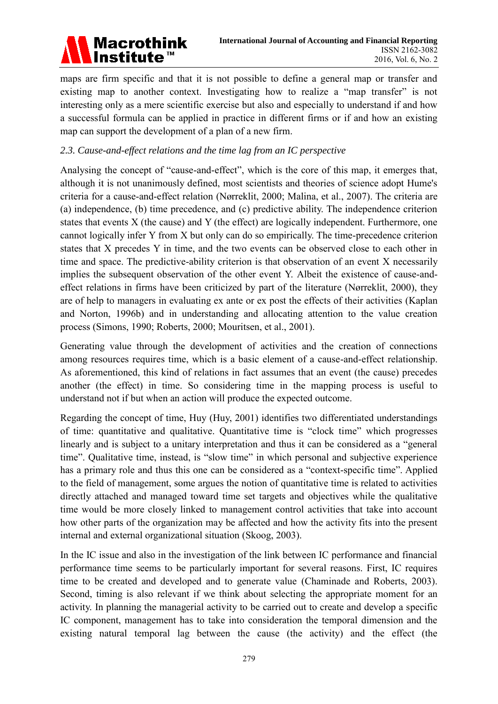

maps are firm specific and that it is not possible to define a general map or transfer and existing map to another context. Investigating how to realize a "map transfer" is not interesting only as a mere scientific exercise but also and especially to understand if and how a successful formula can be applied in practice in different firms or if and how an existing map can support the development of a plan of a new firm.

#### *2.3. Cause-and-effect relations and the time lag from an IC perspective*

Analysing the concept of "cause-and-effect", which is the core of this map, it emerges that, although it is not unanimously defined, most scientists and theories of science adopt Hume's criteria for a cause-and-effect relation (Nørreklit, 2000; Malina, et al., 2007). The criteria are (a) independence, (b) time precedence, and (c) predictive ability. The independence criterion states that events X (the cause) and Y (the effect) are logically independent. Furthermore, one cannot logically infer Y from X but only can do so empirically. The time-precedence criterion states that X precedes Y in time, and the two events can be observed close to each other in time and space. The predictive-ability criterion is that observation of an event X necessarily implies the subsequent observation of the other event Y. Albeit the existence of cause-andeffect relations in firms have been criticized by part of the literature (Nørreklit, 2000), they are of help to managers in evaluating ex ante or ex post the effects of their activities (Kaplan and Norton, 1996b) and in understanding and allocating attention to the value creation process (Simons, 1990; Roberts, 2000; Mouritsen, et al., 2001).

Generating value through the development of activities and the creation of connections among resources requires time, which is a basic element of a cause-and-effect relationship. As aforementioned, this kind of relations in fact assumes that an event (the cause) precedes another (the effect) in time. So considering time in the mapping process is useful to understand not if but when an action will produce the expected outcome.

Regarding the concept of time, Huy (Huy, 2001) identifies two differentiated understandings of time: quantitative and qualitative. Quantitative time is "clock time" which progresses linearly and is subject to a unitary interpretation and thus it can be considered as a "general time". Qualitative time, instead, is "slow time" in which personal and subjective experience has a primary role and thus this one can be considered as a "context-specific time". Applied to the field of management, some argues the notion of quantitative time is related to activities directly attached and managed toward time set targets and objectives while the qualitative time would be more closely linked to management control activities that take into account how other parts of the organization may be affected and how the activity fits into the present internal and external organizational situation (Skoog, 2003).

In the IC issue and also in the investigation of the link between IC performance and financial performance time seems to be particularly important for several reasons. First, IC requires time to be created and developed and to generate value (Chaminade and Roberts, 2003). Second, timing is also relevant if we think about selecting the appropriate moment for an activity. In planning the managerial activity to be carried out to create and develop a specific IC component, management has to take into consideration the temporal dimension and the existing natural temporal lag between the cause (the activity) and the effect (the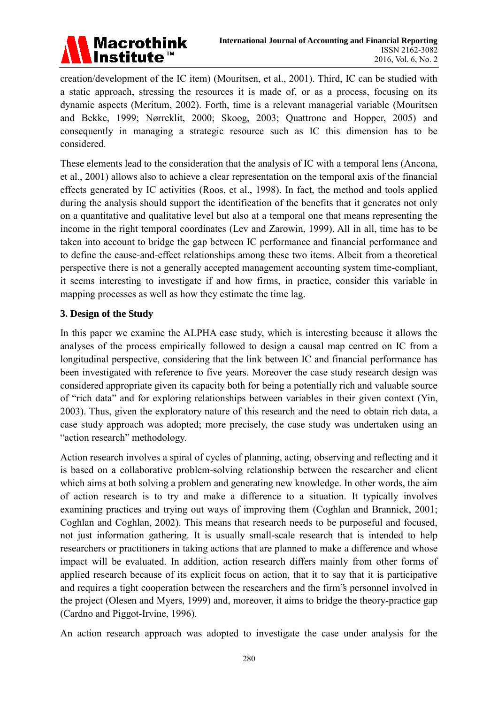

creation/development of the IC item) (Mouritsen, et al., 2001). Third, IC can be studied with a static approach, stressing the resources it is made of, or as a process, focusing on its dynamic aspects (Meritum, 2002). Forth, time is a relevant managerial variable (Mouritsen and Bekke, 1999; Nørreklit, 2000; Skoog, 2003; Quattrone and Hopper, 2005) and consequently in managing a strategic resource such as IC this dimension has to be considered.

These elements lead to the consideration that the analysis of IC with a temporal lens (Ancona, et al., 2001) allows also to achieve a clear representation on the temporal axis of the financial effects generated by IC activities (Roos, et al., 1998). In fact, the method and tools applied during the analysis should support the identification of the benefits that it generates not only on a quantitative and qualitative level but also at a temporal one that means representing the income in the right temporal coordinates (Lev and Zarowin, 1999). All in all, time has to be taken into account to bridge the gap between IC performance and financial performance and to define the cause-and-effect relationships among these two items. Albeit from a theoretical perspective there is not a generally accepted management accounting system time-compliant, it seems interesting to investigate if and how firms, in practice, consider this variable in mapping processes as well as how they estimate the time lag.

#### **3. Design of the Study**

In this paper we examine the ALPHA case study, which is interesting because it allows the analyses of the process empirically followed to design a causal map centred on IC from a longitudinal perspective, considering that the link between IC and financial performance has been investigated with reference to five years. Moreover the case study research design was considered appropriate given its capacity both for being a potentially rich and valuable source of "rich data" and for exploring relationships between variables in their given context (Yin, 2003). Thus, given the exploratory nature of this research and the need to obtain rich data, a case study approach was adopted; more precisely, the case study was undertaken using an "action research" methodology.

Action research involves a spiral of cycles of planning, acting, observing and reflecting and it is based on a collaborative problem-solving relationship between the researcher and client which aims at both solving a problem and generating new knowledge. In other words, the aim of action research is to try and make a difference to a situation. It typically involves examining practices and trying out ways of improving them (Coghlan and Brannick, 2001; Coghlan and Coghlan, 2002). This means that research needs to be purposeful and focused, not just information gathering. It is usually small-scale research that is intended to help researchers or practitioners in taking actions that are planned to make a difference and whose impact will be evaluated. In addition, action research differs mainly from other forms of applied research because of its explicit focus on action, that it to say that it is participative and requires a tight cooperation between the researchers and the firm"s personnel involved in the project (Olesen and Myers, 1999) and, moreover, it aims to bridge the theory-practice gap (Cardno and Piggot-Irvine, 1996).

An action research approach was adopted to investigate the case under analysis for the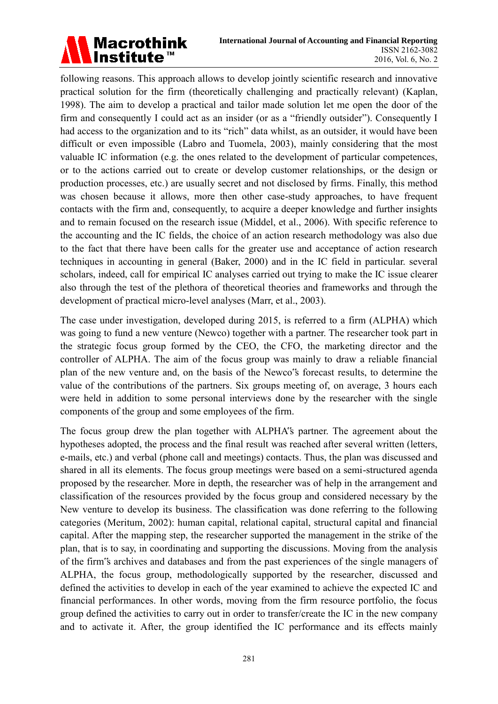

following reasons. This approach allows to develop jointly scientific research and innovative practical solution for the firm (theoretically challenging and practically relevant) (Kaplan, 1998). The aim to develop a practical and tailor made solution let me open the door of the firm and consequently I could act as an insider (or as a "friendly outsider"). Consequently I had access to the organization and to its "rich" data whilst, as an outsider, it would have been difficult or even impossible (Labro and Tuomela, 2003), mainly considering that the most valuable IC information (e.g. the ones related to the development of particular competences, or to the actions carried out to create or develop customer relationships, or the design or production processes, etc.) are usually secret and not disclosed by firms. Finally, this method was chosen because it allows, more then other case-study approaches, to have frequent contacts with the firm and, consequently, to acquire a deeper knowledge and further insights and to remain focused on the research issue (Middel, et al., 2006). With specific reference to the accounting and the IC fields, the choice of an action research methodology was also due to the fact that there have been calls for the greater use and acceptance of action research techniques in accounting in general (Baker, 2000) and in the IC field in particular. several scholars, indeed, call for empirical IC analyses carried out trying to make the IC issue clearer also through the test of the plethora of theoretical theories and frameworks and through the development of practical micro-level analyses (Marr, et al., 2003).

The case under investigation, developed during 2015, is referred to a firm (ALPHA) which was going to fund a new venture (Newco) together with a partner. The researcher took part in the strategic focus group formed by the CEO, the CFO, the marketing director and the controller of ALPHA. The aim of the focus group was mainly to draw a reliable financial plan of the new venture and, on the basis of the Newco"s forecast results, to determine the value of the contributions of the partners. Six groups meeting of, on average, 3 hours each were held in addition to some personal interviews done by the researcher with the single components of the group and some employees of the firm.

The focus group drew the plan together with ALPHA"s partner. The agreement about the hypotheses adopted, the process and the final result was reached after several written (letters, e-mails, etc.) and verbal (phone call and meetings) contacts. Thus, the plan was discussed and shared in all its elements. The focus group meetings were based on a semi-structured agenda proposed by the researcher. More in depth, the researcher was of help in the arrangement and classification of the resources provided by the focus group and considered necessary by the New venture to develop its business. The classification was done referring to the following categories (Meritum, 2002): human capital, relational capital, structural capital and financial capital. After the mapping step, the researcher supported the management in the strike of the plan, that is to say, in coordinating and supporting the discussions. Moving from the analysis of the firm"s archives and databases and from the past experiences of the single managers of ALPHA, the focus group, methodologically supported by the researcher, discussed and defined the activities to develop in each of the year examined to achieve the expected IC and financial performances. In other words, moving from the firm resource portfolio, the focus group defined the activities to carry out in order to transfer/create the IC in the new company and to activate it. After, the group identified the IC performance and its effects mainly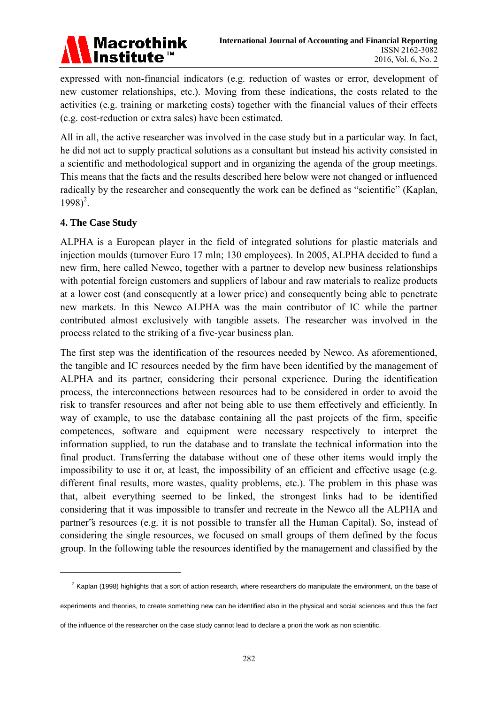

expressed with non-financial indicators (e.g. reduction of wastes or error, development of new customer relationships, etc.). Moving from these indications, the costs related to the activities (e.g. training or marketing costs) together with the financial values of their effects (e.g. cost-reduction or extra sales) have been estimated.

All in all, the active researcher was involved in the case study but in a particular way. In fact, he did not act to supply practical solutions as a consultant but instead his activity consisted in a scientific and methodological support and in organizing the agenda of the group meetings. This means that the facts and the results described here below were not changed or influenced radically by the researcher and consequently the work can be defined as "scientific" (Kaplan,  $1998)^2$ .

#### **4. The Case Study**

-

ALPHA is a European player in the field of integrated solutions for plastic materials and injection moulds (turnover Euro 17 mln; 130 employees). In 2005, ALPHA decided to fund a new firm, here called Newco, together with a partner to develop new business relationships with potential foreign customers and suppliers of labour and raw materials to realize products at a lower cost (and consequently at a lower price) and consequently being able to penetrate new markets. In this Newco ALPHA was the main contributor of IC while the partner contributed almost exclusively with tangible assets. The researcher was involved in the process related to the striking of a five-year business plan.

The first step was the identification of the resources needed by Newco. As aforementioned, the tangible and IC resources needed by the firm have been identified by the management of ALPHA and its partner, considering their personal experience. During the identification process, the interconnections between resources had to be considered in order to avoid the risk to transfer resources and after not being able to use them effectively and efficiently. In way of example, to use the database containing all the past projects of the firm, specific competences, software and equipment were necessary respectively to interpret the information supplied, to run the database and to translate the technical information into the final product. Transferring the database without one of these other items would imply the impossibility to use it or, at least, the impossibility of an efficient and effective usage (e.g. different final results, more wastes, quality problems, etc.). The problem in this phase was that, albeit everything seemed to be linked, the strongest links had to be identified considering that it was impossible to transfer and recreate in the Newco all the ALPHA and partner"s resources (e.g. it is not possible to transfer all the Human Capital). So, instead of considering the single resources, we focused on small groups of them defined by the focus group. In the following table the resources identified by the management and classified by the

experiments and theories, to create something new can be identified also in the physical and social sciences and thus the fact

 $2$  Kaplan (1998) highlights that a sort of action research, where researchers do manipulate the environment, on the base of

of the influence of the researcher on the case study cannot lead to declare a priori the work as non scientific.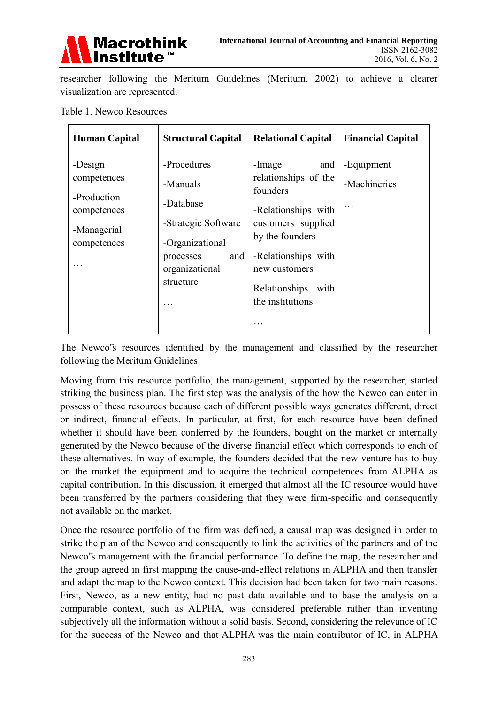

researcher following the Meritum Guidelines (Meritum, 2002) to achieve a clearer visualization are represented.

Table 1. Newco Resources

| <b>Human Capital</b>                                                               | <b>Structural Capital</b>                                                                                                         | <b>Relational Capital</b>                                                                                                                                                                              | <b>Financial Capital</b>   |
|------------------------------------------------------------------------------------|-----------------------------------------------------------------------------------------------------------------------------------|--------------------------------------------------------------------------------------------------------------------------------------------------------------------------------------------------------|----------------------------|
| -Design<br>competences<br>-Production<br>competences<br>-Managerial<br>competences | -Procedures<br>-Manuals<br>-Database<br>-Strategic Software<br>-Organizational<br>and<br>processes<br>organizational<br>structure | -Image<br>and<br>relationships of the<br>founders<br>-Relationships with<br>customers supplied<br>by the founders<br>-Relationships with<br>new customers<br>Relationships<br>with<br>the institutions | -Equipment<br>-Machineries |
|                                                                                    |                                                                                                                                   | $\sim$ $\sim$ $\sim$                                                                                                                                                                                   |                            |

The Newco"s resources identified by the management and classified by the researcher following the Meritum Guidelines

Moving from this resource portfolio, the management, supported by the researcher, started striking the business plan. The first step was the analysis of the how the Newco can enter in possess of these resources because each of different possible ways generates different, direct or indirect, financial effects. In particular, at first, for each resource have been defined whether it should have been conferred by the founders, bought on the market or internally generated by the Newco because of the diverse financial effect which corresponds to each of these alternatives. In way of example, the founders decided that the new venture has to buy on the market the equipment and to acquire the technical competences from ALPHA as capital contribution. In this discussion, it emerged that almost all the IC resource would have been transferred by the partners considering that they were firm-specific and consequently not available on the market.

Once the resource portfolio of the firm was defined, a causal map was designed in order to strike the plan of the Newco and consequently to link the activities of the partners and of the Newco"s management with the financial performance. To define the map, the researcher and the group agreed in first mapping the cause-and-effect relations in ALPHA and then transfer and adapt the map to the Newco context. This decision had been taken for two main reasons. First, Newco, as a new entity, had no past data available and to base the analysis on a comparable context, such as ALPHA, was considered preferable rather than inventing subjectively all the information without a solid basis. Second, considering the relevance of IC for the success of the Newco and that ALPHA was the main contributor of IC, in ALPHA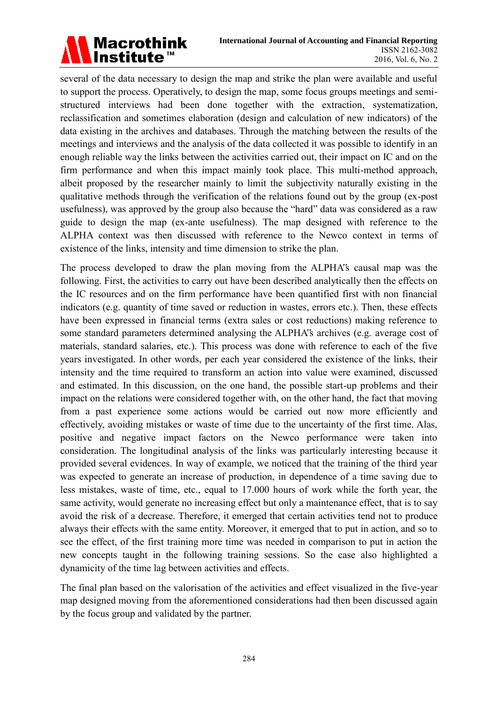

several of the data necessary to design the map and strike the plan were available and useful to support the process. Operatively, to design the map, some focus groups meetings and semistructured interviews had been done together with the extraction, systematization, reclassification and sometimes elaboration (design and calculation of new indicators) of the data existing in the archives and databases. Through the matching between the results of the meetings and interviews and the analysis of the data collected it was possible to identify in an enough reliable way the links between the activities carried out, their impact on IC and on the firm performance and when this impact mainly took place. This multi-method approach, albeit proposed by the researcher mainly to limit the subjectivity naturally existing in the qualitative methods through the verification of the relations found out by the group (ex-post usefulness), was approved by the group also because the "hard" data was considered as a raw guide to design the map (ex-ante usefulness). The map designed with reference to the ALPHA context was then discussed with reference to the Newco context in terms of existence of the links, intensity and time dimension to strike the plan.

The process developed to draw the plan moving from the ALPHA"s causal map was the following. First, the activities to carry out have been described analytically then the effects on the IC resources and on the firm performance have been quantified first with non financial indicators (e.g. quantity of time saved or reduction in wastes, errors etc.). Then, these effects have been expressed in financial terms (extra sales or cost reductions) making reference to some standard parameters determined analysing the ALPHA"s archives (e.g. average cost of materials, standard salaries, etc.). This process was done with reference to each of the five years investigated. In other words, per each year considered the existence of the links, their intensity and the time required to transform an action into value were examined, discussed and estimated. In this discussion, on the one hand, the possible start-up problems and their impact on the relations were considered together with, on the other hand, the fact that moving from a past experience some actions would be carried out now more efficiently and effectively, avoiding mistakes or waste of time due to the uncertainty of the first time. Alas, positive and negative impact factors on the Newco performance were taken into consideration. The longitudinal analysis of the links was particularly interesting because it provided several evidences. In way of example, we noticed that the training of the third year was expected to generate an increase of production, in dependence of a time saving due to less mistakes, waste of time, etc., equal to 17.000 hours of work while the forth year, the same activity, would generate no increasing effect but only a maintenance effect, that is to say avoid the risk of a decrease. Therefore, it emerged that certain activities tend not to produce always their effects with the same entity. Moreover, it emerged that to put in action, and so to see the effect, of the first training more time was needed in comparison to put in action the new concepts taught in the following training sessions. So the case also highlighted a dynamicity of the time lag between activities and effects.

The final plan based on the valorisation of the activities and effect visualized in the five-year map designed moving from the aforementioned considerations had then been discussed again by the focus group and validated by the partner.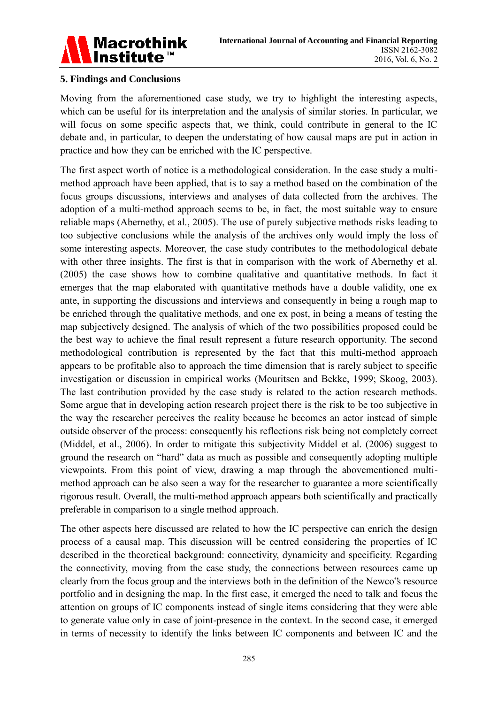

#### **5. Findings and Conclusions**

Moving from the aforementioned case study, we try to highlight the interesting aspects, which can be useful for its interpretation and the analysis of similar stories. In particular, we will focus on some specific aspects that, we think, could contribute in general to the IC debate and, in particular, to deepen the understating of how causal maps are put in action in practice and how they can be enriched with the IC perspective.

The first aspect worth of notice is a methodological consideration. In the case study a multimethod approach have been applied, that is to say a method based on the combination of the focus groups discussions, interviews and analyses of data collected from the archives. The adoption of a multi-method approach seems to be, in fact, the most suitable way to ensure reliable maps (Abernethy, et al., 2005). The use of purely subjective methods risks leading to too subjective conclusions while the analysis of the archives only would imply the loss of some interesting aspects. Moreover, the case study contributes to the methodological debate with other three insights. The first is that in comparison with the work of Abernethy et al. (2005) the case shows how to combine qualitative and quantitative methods. In fact it emerges that the map elaborated with quantitative methods have a double validity, one ex ante, in supporting the discussions and interviews and consequently in being a rough map to be enriched through the qualitative methods, and one ex post, in being a means of testing the map subjectively designed. The analysis of which of the two possibilities proposed could be the best way to achieve the final result represent a future research opportunity. The second methodological contribution is represented by the fact that this multi-method approach appears to be profitable also to approach the time dimension that is rarely subject to specific investigation or discussion in empirical works (Mouritsen and Bekke, 1999; Skoog, 2003). The last contribution provided by the case study is related to the action research methods. Some argue that in developing action research project there is the risk to be too subjective in the way the researcher perceives the reality because he becomes an actor instead of simple outside observer of the process: consequently his reflections risk being not completely correct (Middel, et al., 2006). In order to mitigate this subjectivity Middel et al. (2006) suggest to ground the research on "hard" data as much as possible and consequently adopting multiple viewpoints. From this point of view, drawing a map through the abovementioned multimethod approach can be also seen a way for the researcher to guarantee a more scientifically rigorous result. Overall, the multi-method approach appears both scientifically and practically preferable in comparison to a single method approach.

The other aspects here discussed are related to how the IC perspective can enrich the design process of a causal map. This discussion will be centred considering the properties of IC described in the theoretical background: connectivity, dynamicity and specificity. Regarding the connectivity, moving from the case study, the connections between resources came up clearly from the focus group and the interviews both in the definition of the Newco"s resource portfolio and in designing the map. In the first case, it emerged the need to talk and focus the attention on groups of IC components instead of single items considering that they were able to generate value only in case of joint-presence in the context. In the second case, it emerged in terms of necessity to identify the links between IC components and between IC and the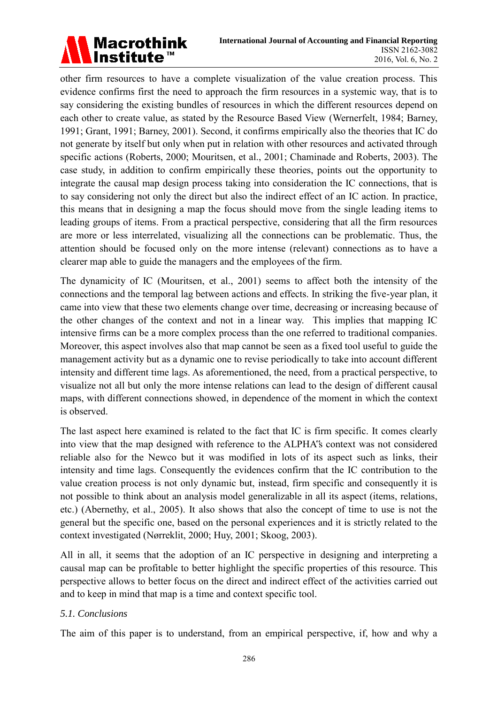# Macrothink<br>Institute™

other firm resources to have a complete visualization of the value creation process. This evidence confirms first the need to approach the firm resources in a systemic way, that is to say considering the existing bundles of resources in which the different resources depend on each other to create value, as stated by the Resource Based View (Wernerfelt, 1984; Barney, 1991; Grant, 1991; Barney, 2001). Second, it confirms empirically also the theories that IC do not generate by itself but only when put in relation with other resources and activated through specific actions (Roberts, 2000; Mouritsen, et al., 2001; Chaminade and Roberts, 2003). The case study, in addition to confirm empirically these theories, points out the opportunity to integrate the causal map design process taking into consideration the IC connections, that is to say considering not only the direct but also the indirect effect of an IC action. In practice, this means that in designing a map the focus should move from the single leading items to leading groups of items. From a practical perspective, considering that all the firm resources are more or less interrelated, visualizing all the connections can be problematic. Thus, the attention should be focused only on the more intense (relevant) connections as to have a clearer map able to guide the managers and the employees of the firm.

The dynamicity of IC (Mouritsen, et al., 2001) seems to affect both the intensity of the connections and the temporal lag between actions and effects. In striking the five-year plan, it came into view that these two elements change over time, decreasing or increasing because of the other changes of the context and not in a linear way. This implies that mapping IC intensive firms can be a more complex process than the one referred to traditional companies. Moreover, this aspect involves also that map cannot be seen as a fixed tool useful to guide the management activity but as a dynamic one to revise periodically to take into account different intensity and different time lags. As aforementioned, the need, from a practical perspective, to visualize not all but only the more intense relations can lead to the design of different causal maps, with different connections showed, in dependence of the moment in which the context is observed.

The last aspect here examined is related to the fact that IC is firm specific. It comes clearly into view that the map designed with reference to the ALPHA"s context was not considered reliable also for the Newco but it was modified in lots of its aspect such as links, their intensity and time lags. Consequently the evidences confirm that the IC contribution to the value creation process is not only dynamic but, instead, firm specific and consequently it is not possible to think about an analysis model generalizable in all its aspect (items, relations, etc.) (Abernethy, et al., 2005). It also shows that also the concept of time to use is not the general but the specific one, based on the personal experiences and it is strictly related to the context investigated (Nørreklit, 2000; Huy, 2001; Skoog, 2003).

All in all, it seems that the adoption of an IC perspective in designing and interpreting a causal map can be profitable to better highlight the specific properties of this resource. This perspective allows to better focus on the direct and indirect effect of the activities carried out and to keep in mind that map is a time and context specific tool.

# *5.1. Conclusions*

The aim of this paper is to understand, from an empirical perspective, if, how and why a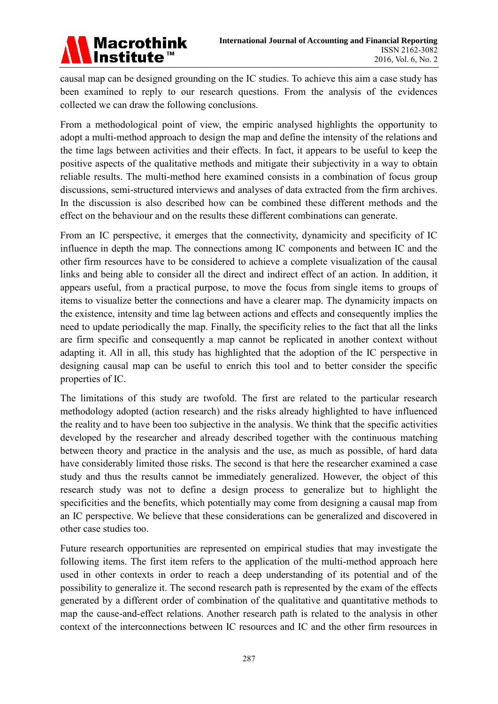

causal map can be designed grounding on the IC studies. To achieve this aim a case study has been examined to reply to our research questions. From the analysis of the evidences collected we can draw the following conclusions.

From a methodological point of view, the empiric analysed highlights the opportunity to adopt a multi-method approach to design the map and define the intensity of the relations and the time lags between activities and their effects. In fact, it appears to be useful to keep the positive aspects of the qualitative methods and mitigate their subjectivity in a way to obtain reliable results. The multi-method here examined consists in a combination of focus group discussions, semi-structured interviews and analyses of data extracted from the firm archives. In the discussion is also described how can be combined these different methods and the effect on the behaviour and on the results these different combinations can generate.

From an IC perspective, it emerges that the connectivity, dynamicity and specificity of IC influence in depth the map. The connections among IC components and between IC and the other firm resources have to be considered to achieve a complete visualization of the causal links and being able to consider all the direct and indirect effect of an action. In addition, it appears useful, from a practical purpose, to move the focus from single items to groups of items to visualize better the connections and have a clearer map. The dynamicity impacts on the existence, intensity and time lag between actions and effects and consequently implies the need to update periodically the map. Finally, the specificity relies to the fact that all the links are firm specific and consequently a map cannot be replicated in another context without adapting it. All in all, this study has highlighted that the adoption of the IC perspective in designing causal map can be useful to enrich this tool and to better consider the specific properties of IC.

The limitations of this study are twofold. The first are related to the particular research methodology adopted (action research) and the risks already highlighted to have influenced the reality and to have been too subjective in the analysis. We think that the specific activities developed by the researcher and already described together with the continuous matching between theory and practice in the analysis and the use, as much as possible, of hard data have considerably limited those risks. The second is that here the researcher examined a case study and thus the results cannot be immediately generalized. However, the object of this research study was not to define a design process to generalize but to highlight the specificities and the benefits, which potentially may come from designing a causal map from an IC perspective. We believe that these considerations can be generalized and discovered in other case studies too.

Future research opportunities are represented on empirical studies that may investigate the following items. The first item refers to the application of the multi-method approach here used in other contexts in order to reach a deep understanding of its potential and of the possibility to generalize it. The second research path is represented by the exam of the effects generated by a different order of combination of the qualitative and quantitative methods to map the cause-and-effect relations. Another research path is related to the analysis in other context of the interconnections between IC resources and IC and the other firm resources in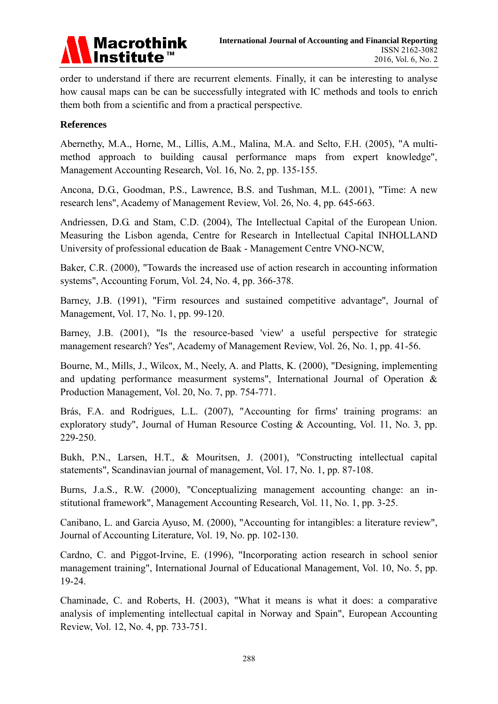

order to understand if there are recurrent elements. Finally, it can be interesting to analyse how causal maps can be can be successfully integrated with IC methods and tools to enrich them both from a scientific and from a practical perspective.

#### **References**

Abernethy, M.A., Horne, M., Lillis, A.M., Malina, M.A. and Selto, F.H. (2005), "A multimethod approach to building causal performance maps from expert knowledge", Management Accounting Research, Vol. 16, No. 2, pp. 135-155.

Ancona, D.G., Goodman, P.S., Lawrence, B.S. and Tushman, M.L. (2001), "Time: A new research lens", Academy of Management Review, Vol. 26, No. 4, pp. 645-663.

Andriessen, D.G. and Stam, C.D. (2004), The Intellectual Capital of the European Union. Measuring the Lisbon agenda, Centre for Research in Intellectual Capital INHOLLAND University of professional education de Baak - Management Centre VNO-NCW,

Baker, C.R. (2000), "Towards the increased use of action research in accounting information systems", Accounting Forum, Vol. 24, No. 4, pp. 366-378.

Barney, J.B. (1991), "Firm resources and sustained competitive advantage", Journal of Management, Vol. 17, No. 1, pp. 99-120.

Barney, J.B. (2001), "Is the resource-based 'view' a useful perspective for strategic management research? Yes", Academy of Management Review, Vol. 26, No. 1, pp. 41-56.

Bourne, M., Mills, J., Wilcox, M., Neely, A. and Platts, K. (2000), "Designing, implementing and updating performance measurment systems", International Journal of Operation & Production Management, Vol. 20, No. 7, pp. 754-771.

Brás, F.A. and Rodrigues, L.L. (2007), "Accounting for firms' training programs: an exploratory study", Journal of Human Resource Costing & Accounting, Vol. 11, No. 3, pp. 229-250.

Bukh, P.N., Larsen, H.T., & Mouritsen, J. (2001), "Constructing intellectual capital statements", Scandinavian journal of management, Vol. 17, No. 1, pp. 87-108.

Burns, J.a.S., R.W. (2000), "Conceptualizing management accounting change: an institutional framework", Management Accounting Research, Vol. 11, No. 1, pp. 3-25.

Canibano, L. and Garcia Ayuso, M. (2000), "Accounting for intangibles: a literature review", Journal of Accounting Literature, Vol. 19, No. pp. 102-130.

Cardno, C. and Piggot-Irvine, E. (1996), "Incorporating action research in school senior management training", International Journal of Educational Management, Vol. 10, No. 5, pp. 19-24.

Chaminade, C. and Roberts, H. (2003), "What it means is what it does: a comparative analysis of implementing intellectual capital in Norway and Spain", European Accounting Review, Vol. 12, No. 4, pp. 733-751.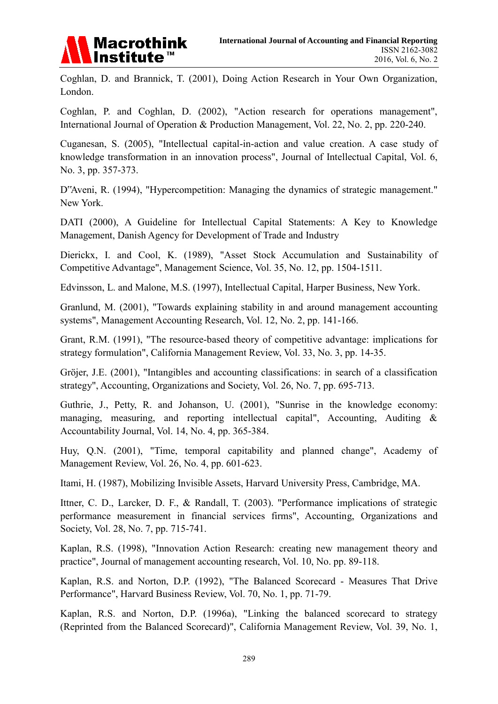

Coghlan, D. and Brannick, T. (2001), Doing Action Research in Your Own Organization, London.

Coghlan, P. and Coghlan, D. (2002), "Action research for operations management", International Journal of Operation & Production Management, Vol. 22, No. 2, pp. 220-240.

Cuganesan, S. (2005), "Intellectual capital-in-action and value creation. A case study of knowledge transformation in an innovation process", Journal of Intellectual Capital, Vol. 6, No. 3, pp. 357-373.

D"Aveni, R. (1994), "Hypercompetition: Managing the dynamics of strategic management." New York.

DATI (2000), A Guideline for Intellectual Capital Statements: A Key to Knowledge Management, Danish Agency for Development of Trade and Industry

Dierickx, I. and Cool, K. (1989), "Asset Stock Accumulation and Sustainability of Competitive Advantage", Management Science, Vol. 35, No. 12, pp. 1504-1511.

Edvinsson, L. and Malone, M.S. (1997), Intellectual Capital, Harper Business, New York.

Granlund, M. (2001), "Towards explaining stability in and around management accounting systems", Management Accounting Research, Vol. 12, No. 2, pp. 141-166.

Grant, R.M. (1991), "The resource-based theory of competitive advantage: implications for strategy formulation", California Management Review, Vol. 33, No. 3, pp. 14-35.

Gröjer, J.E. (2001), "Intangibles and accounting classifications: in search of a classification strategy", Accounting, Organizations and Society, Vol. 26, No. 7, pp. 695-713.

Guthrie, J., Petty, R. and Johanson, U. (2001), "Sunrise in the knowledge economy: managing, measuring, and reporting intellectual capital", Accounting, Auditing & Accountability Journal, Vol. 14, No. 4, pp. 365-384.

Huy, Q.N. (2001), "Time, temporal capitability and planned change", Academy of Management Review, Vol. 26, No. 4, pp. 601-623.

Itami, H. (1987), Mobilizing Invisible Assets, Harvard University Press, Cambridge, MA.

Ittner, C. D., Larcker, D. F., & Randall, T. (2003). "Performance implications of strategic performance measurement in financial services firms", Accounting, Organizations and Society, Vol. 28, No. 7, pp. 715-741.

Kaplan, R.S. (1998), "Innovation Action Research: creating new management theory and practice", Journal of management accounting research, Vol. 10, No. pp. 89-118.

Kaplan, R.S. and Norton, D.P. (1992), "The Balanced Scorecard - Measures That Drive Performance", Harvard Business Review, Vol. 70, No. 1, pp. 71-79.

Kaplan, R.S. and Norton, D.P. (1996a), "Linking the balanced scorecard to strategy (Reprinted from the Balanced Scorecard)", California Management Review, Vol. 39, No. 1,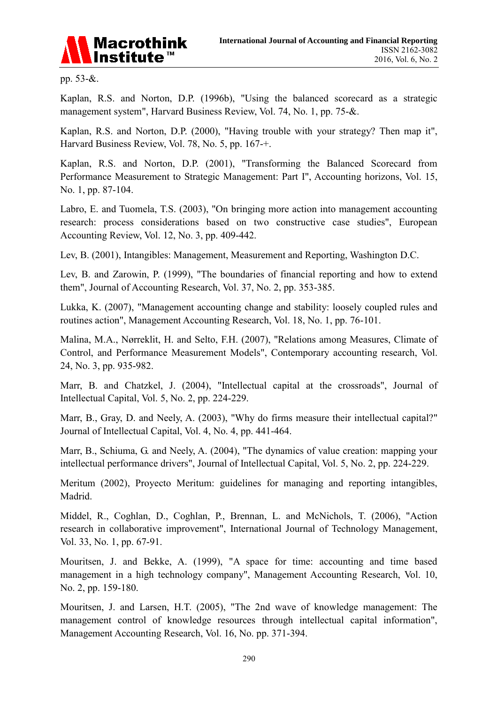

pp. 53-&.

Kaplan, R.S. and Norton, D.P. (1996b), "Using the balanced scorecard as a strategic management system", Harvard Business Review, Vol. 74, No. 1, pp. 75-&.

Kaplan, R.S. and Norton, D.P. (2000), "Having trouble with your strategy? Then map it", Harvard Business Review, Vol. 78, No. 5, pp. 167-+.

Kaplan, R.S. and Norton, D.P. (2001), "Transforming the Balanced Scorecard from Performance Measurement to Strategic Management: Part I", Accounting horizons, Vol. 15, No. 1, pp. 87-104.

Labro, E. and Tuomela, T.S. (2003), "On bringing more action into management accounting research: process considerations based on two constructive case studies", European Accounting Review, Vol. 12, No. 3, pp. 409-442.

Lev, B. (2001), Intangibles: Management, Measurement and Reporting, Washington D.C.

Lev, B. and Zarowin, P. (1999), "The boundaries of financial reporting and how to extend them", Journal of Accounting Research, Vol. 37, No. 2, pp. 353-385.

Lukka, K. (2007), "Management accounting change and stability: loosely coupled rules and routines action", Management Accounting Research, Vol. 18, No. 1, pp. 76-101.

Malina, M.A., Nørreklit, H. and Selto, F.H. (2007), "Relations among Measures, Climate of Control, and Performance Measurement Models", Contemporary accounting research, Vol. 24, No. 3, pp. 935-982.

Marr, B. and Chatzkel, J. (2004), "Intellectual capital at the crossroads", Journal of Intellectual Capital, Vol. 5, No. 2, pp. 224-229.

Marr, B., Gray, D. and Neely, A. (2003), "Why do firms measure their intellectual capital?" Journal of Intellectual Capital, Vol. 4, No. 4, pp. 441-464.

Marr, B., Schiuma, G. and Neely, A. (2004), "The dynamics of value creation: mapping your intellectual performance drivers", Journal of Intellectual Capital, Vol. 5, No. 2, pp. 224-229.

Meritum (2002), Proyecto Meritum: guidelines for managing and reporting intangibles, Madrid.

Middel, R., Coghlan, D., Coghlan, P., Brennan, L. and McNichols, T. (2006), "Action research in collaborative improvement", International Journal of Technology Management, Vol. 33, No. 1, pp. 67-91.

Mouritsen, J. and Bekke, A. (1999), "A space for time: accounting and time based management in a high technology company", Management Accounting Research, Vol. 10, No. 2, pp. 159-180.

Mouritsen, J. and Larsen, H.T. (2005), "The 2nd wave of knowledge management: The management control of knowledge resources through intellectual capital information", Management Accounting Research, Vol. 16, No. pp. 371-394.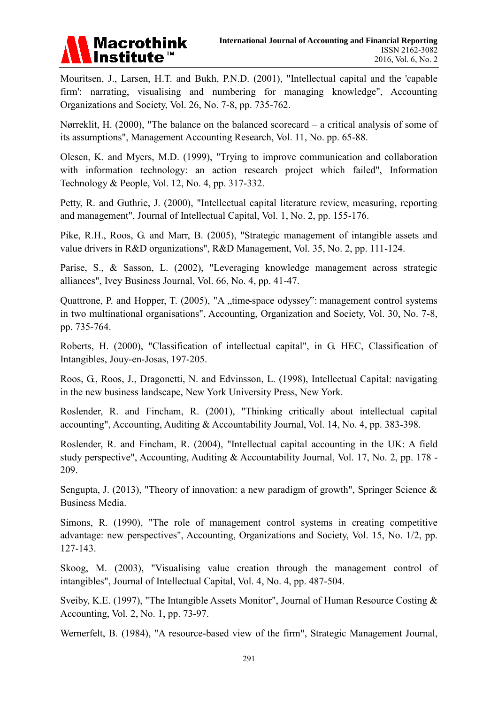

Mouritsen, J., Larsen, H.T. and Bukh, P.N.D. (2001), "Intellectual capital and the 'capable firm': narrating, visualising and numbering for managing knowledge", Accounting Organizations and Society, Vol. 26, No. 7-8, pp. 735-762.

Nørreklit, H. (2000), "The balance on the balanced scorecard – a critical analysis of some of its assumptions", Management Accounting Research, Vol. 11, No. pp. 65-88.

Olesen, K. and Myers, M.D. (1999), "Trying to improve communication and collaboration with information technology: an action research project which failed", Information Technology & People, Vol. 12, No. 4, pp. 317-332.

Petty, R. and Guthrie, J. (2000), "Intellectual capital literature review, measuring, reporting and management", Journal of Intellectual Capital, Vol. 1, No. 2, pp. 155-176.

Pike, R.H., Roos, G. and Marr, B. (2005), "Strategic management of intangible assets and value drivers in R&D organizations", R&D Management, Vol. 35, No. 2, pp. 111-124.

Parise, S., & Sasson, L. (2002), "Leveraging knowledge management across strategic alliances", Ivey Business Journal, Vol. 66, No. 4, pp. 41-47.

Quattrone, P. and Hopper, T. (2005), "A "time-space odyssey": management control systems in two multinational organisations", Accounting, Organization and Society, Vol. 30, No. 7-8, pp. 735-764.

Roberts, H. (2000), "Classification of intellectual capital", in G. HEC, Classification of Intangibles, Jouy-en-Josas, 197-205.

Roos, G., Roos, J., Dragonetti, N. and Edvinsson, L. (1998), Intellectual Capital: navigating in the new business landscape, New York University Press, New York.

Roslender, R. and Fincham, R. (2001), "Thinking critically about intellectual capital accounting", Accounting, Auditing & Accountability Journal, Vol. 14, No. 4, pp. 383-398.

Roslender, R. and Fincham, R. (2004), "Intellectual capital accounting in the UK: A field study perspective", Accounting, Auditing & Accountability Journal, Vol. 17, No. 2, pp. 178 - 209.

Sengupta, J. (2013), "Theory of innovation: a new paradigm of growth", Springer Science & Business Media.

Simons, R. (1990), "The role of management control systems in creating competitive advantage: new perspectives", Accounting, Organizations and Society, Vol. 15, No. 1/2, pp. 127-143.

Skoog, M. (2003), "Visualising value creation through the management control of intangibles", Journal of Intellectual Capital, Vol. 4, No. 4, pp. 487-504.

Sveiby, K.E. (1997), "The Intangible Assets Monitor", Journal of Human Resource Costing & Accounting, Vol. 2, No. 1, pp. 73-97.

Wernerfelt, B. (1984), "A resource-based view of the firm", Strategic Management Journal,